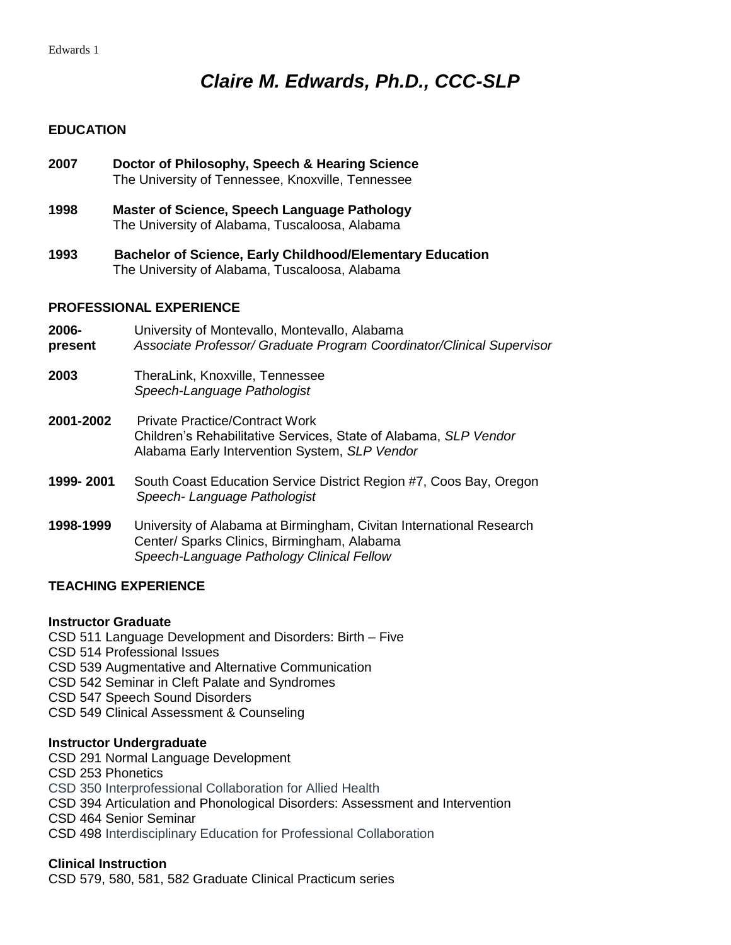# *Claire M. Edwards, Ph.D., CCC-SLP*

# **EDUCATION**

| 1998                           | <b>Master of Science, Speech Language Pathology</b><br>The University of Alabama, Tuscaloosa, Alabama                                                           |
|--------------------------------|-----------------------------------------------------------------------------------------------------------------------------------------------------------------|
| 1993                           | <b>Bachelor of Science, Early Childhood/Elementary Education</b><br>The University of Alabama, Tuscaloosa, Alabama                                              |
| <b>PROFESSIONAL EXPERIENCE</b> |                                                                                                                                                                 |
| 2006-<br>present               | University of Montevallo, Montevallo, Alabama<br>Associate Professor/ Graduate Program Coordinator/Clinical Supervisor                                          |
| 2003                           | TheraLink, Knoxville, Tennessee<br>Speech-Language Pathologist                                                                                                  |
| 2001-2002                      | <b>Private Practice/Contract Work</b><br>Children's Rehabilitative Services, State of Alabama, SLP Vendor<br>Alabama Early Intervention System, SLP Vendor      |
| 1999-2001                      | South Coast Education Service District Region #7, Coos Bay, Oregon<br>Speech-Language Pathologist                                                               |
| 1998-1999                      | University of Alabama at Birmingham, Civitan International Research<br>Center/ Sparks Clinics, Birmingham, Alabama<br>Speech-Language Pathology Clinical Fellow |

**2007 Doctor of Philosophy, Speech & Hearing Science**

The University of Tennessee, Knoxville, Tennessee

# **TEACHING EXPERIENCE**

### **Instructor Graduate**

CSD 511 Language Development and Disorders: Birth – Five CSD 514 Professional Issues CSD 539 Augmentative and Alternative Communication CSD 542 Seminar in Cleft Palate and Syndromes CSD 547 Speech Sound Disorders CSD 549 Clinical Assessment & Counseling

# **Instructor Undergraduate**

CSD 291 Normal Language Development CSD 253 Phonetics CSD 350 Interprofessional Collaboration for Allied Health CSD 394 Articulation and Phonological Disorders: Assessment and Intervention CSD 464 Senior Seminar CSD 498 Interdisciplinary Education for Professional Collaboration

### **Clinical Instruction**

CSD 579, 580, 581, 582 Graduate Clinical Practicum series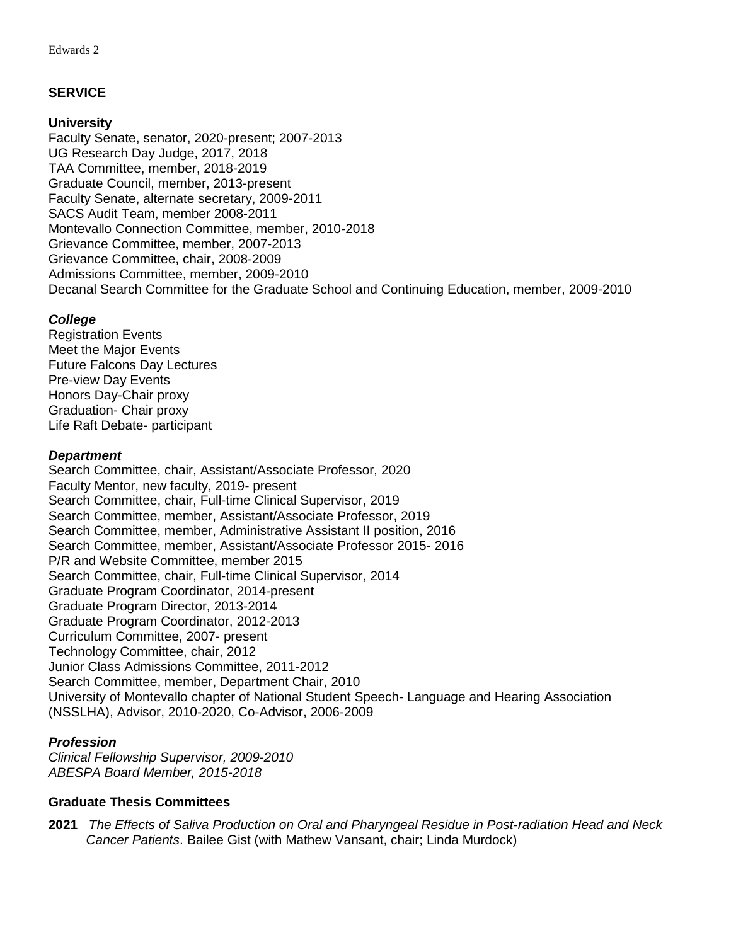# **SERVICE**

### **University**

Faculty Senate, senator, 2020-present; 2007-2013 UG Research Day Judge, 2017, 2018 TAA Committee, member, 2018-2019 Graduate Council, member, 2013-present Faculty Senate, alternate secretary, 2009-2011 SACS Audit Team, member 2008-2011 Montevallo Connection Committee, member, 2010-2018 Grievance Committee, member, 2007-2013 Grievance Committee, chair, 2008-2009 Admissions Committee, member, 2009-2010 Decanal Search Committee for the Graduate School and Continuing Education, member, 2009-2010

# *College*

Registration Events Meet the Major Events Future Falcons Day Lectures Pre-view Day Events Honors Day-Chair proxy Graduation- Chair proxy Life Raft Debate- participant

### *Department*

Search Committee, chair, Assistant/Associate Professor, 2020 Faculty Mentor, new faculty, 2019- present Search Committee, chair, Full-time Clinical Supervisor, 2019 Search Committee, member, Assistant/Associate Professor, 2019 Search Committee, member, Administrative Assistant II position, 2016 Search Committee, member, Assistant/Associate Professor 2015- 2016 P/R and Website Committee, member 2015 Search Committee, chair, Full-time Clinical Supervisor, 2014 Graduate Program Coordinator, 2014-present Graduate Program Director, 2013-2014 Graduate Program Coordinator, 2012-2013 Curriculum Committee, 2007- present Technology Committee, chair, 2012 Junior Class Admissions Committee, 2011-2012 Search Committee, member, Department Chair, 2010 University of Montevallo chapter of National Student Speech- Language and Hearing Association (NSSLHA), Advisor, 2010-2020, Co-Advisor, 2006-2009

# *Profession*

*Clinical Fellowship Supervisor, 2009-2010 ABESPA Board Member, 2015-2018*

### **Graduate Thesis Committees**

**2021** *The Effects of Saliva Production on Oral and Pharyngeal Residue in Post-radiation Head and Neck Cancer Patients*. Bailee Gist (with Mathew Vansant, chair; Linda Murdock)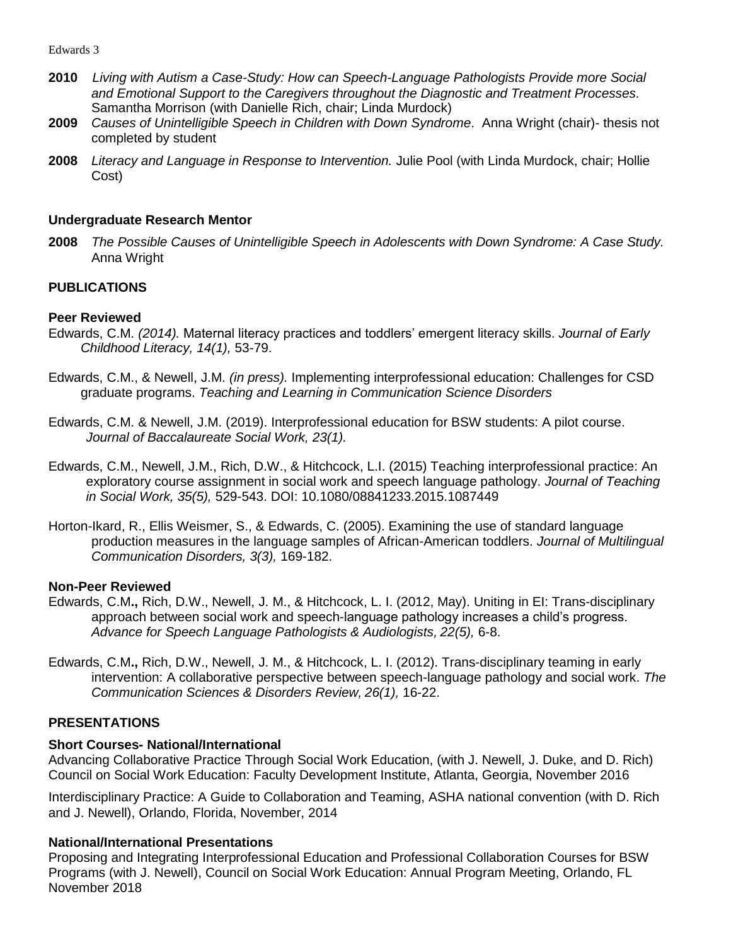- **2010** *Living with Autism a Case-Study: How can Speech-Language Pathologists Provide more Social and Emotional Support to the Caregivers throughout the Diagnostic and Treatment Processes.*  Samantha Morrison (with Danielle Rich, chair; Linda Murdock)
- **2009** *Causes of Unintelligible Speech in Children with Down Syndrome*. Anna Wright (chair)- thesis not completed by student
- **2008** *Literacy and Language in Response to Intervention.* Julie Pool (with Linda Murdock, chair; Hollie Cost)

#### **Undergraduate Research Mentor**

**2008** *The Possible Causes of Unintelligible Speech in Adolescents with Down Syndrome: A Case Study.* Anna Wright

### **PUBLICATIONS**

#### **Peer Reviewed**

- Edwards, C.M. *(2014).* Maternal literacy practices and toddlers' emergent literacy skills. *Journal of Early Childhood Literacy, 14(1),* 53-79.
- Edwards, C.M., & Newell, J.M. *(in press).* Implementing interprofessional education: Challenges for CSD graduate programs. *Teaching and Learning in Communication Science Disorders*
- Edwards, C.M. & Newell, J.M. (2019). Interprofessional education for BSW students: A pilot course. *Journal of Baccalaureate Social Work, 23(1).*
- Edwards, C.M., Newell, J.M., Rich, D.W., & Hitchcock, L.I. (2015) Teaching interprofessional practice: An exploratory course assignment in social work and speech language pathology. *Journal of Teaching in Social Work, 35(5),* 529-543. DOI: 10.1080/08841233.2015.1087449
- Horton-Ikard, R., Ellis Weismer, S., & Edwards, C. (2005). Examining the use of standard language production measures in the language samples of African-American toddlers. *Journal of Multilingual Communication Disorders, 3(3),* 169-182.

#### **Non-Peer Reviewed**

- Edwards, C.M**.,** Rich, D.W., Newell, J. M., & Hitchcock, L. I. (2012, May). Uniting in EI: Trans-disciplinary approach between social work and speech-language pathology increases a child's progress. *Advance for Speech Language Pathologists & Audiologists, 22(5),* 6-8.
- Edwards, C.M**.,** Rich, D.W., Newell, J. M., & Hitchcock, L. I. (2012). Trans-disciplinary teaming in early intervention: A collaborative perspective between speech-language pathology and social work. *The Communication Sciences & Disorders Review, 26(1),* 16-22.

#### **PRESENTATIONS**

#### **Short Courses- National/International**

Advancing Collaborative Practice Through Social Work Education, (with J. Newell, J. Duke, and D. Rich) Council on Social Work Education: Faculty Development Institute, Atlanta, Georgia, November 2016

Interdisciplinary Practice: A Guide to Collaboration and Teaming, ASHA national convention (with D. Rich and J. Newell), Orlando, Florida, November, 2014

#### **National/International Presentations**

Proposing and Integrating Interprofessional Education and Professional Collaboration Courses for BSW Programs (with J. Newell), Council on Social Work Education: Annual Program Meeting, Orlando, FL November 2018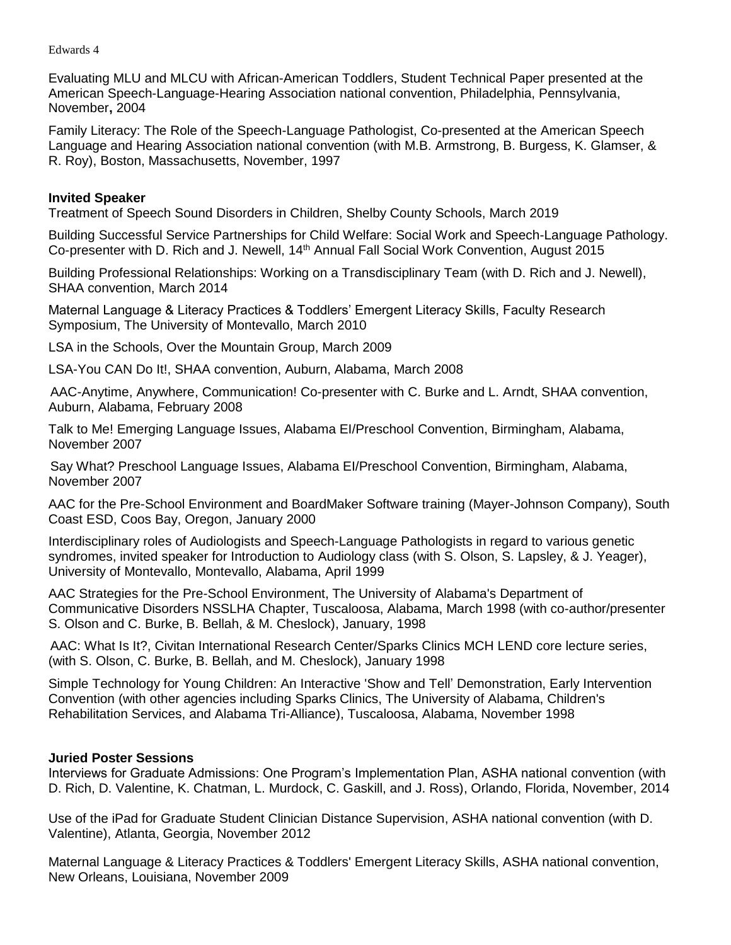Evaluating MLU and MLCU with African-American Toddlers, Student Technical Paper presented at the American Speech-Language-Hearing Association national convention, Philadelphia, Pennsylvania, November**,** 2004

Family Literacy: The Role of the Speech-Language Pathologist, Co-presented at the American Speech Language and Hearing Association national convention (with M.B. Armstrong, B. Burgess, K. Glamser, & R. Roy), Boston, Massachusetts, November, 1997

### **Invited Speaker**

Treatment of Speech Sound Disorders in Children, Shelby County Schools, March 2019

Building Successful Service Partnerships for Child Welfare: Social Work and Speech-Language Pathology. Co-presenter with D. Rich and J. Newell, 14<sup>th</sup> Annual Fall Social Work Convention, August 2015

Building Professional Relationships: Working on a Transdisciplinary Team (with D. Rich and J. Newell), SHAA convention, March 2014

Maternal Language & Literacy Practices & Toddlers' Emergent Literacy Skills, Faculty Research Symposium, The University of Montevallo, March 2010

LSA in the Schools, Over the Mountain Group, March 2009

LSA-You CAN Do It!, SHAA convention, Auburn, Alabama, March 2008

AAC-Anytime, Anywhere, Communication! Co-presenter with C. Burke and L. Arndt, SHAA convention, Auburn, Alabama, February 2008

Talk to Me! Emerging Language Issues, Alabama EI/Preschool Convention, Birmingham, Alabama, November 2007

Say What? Preschool Language Issues, Alabama EI/Preschool Convention, Birmingham, Alabama, November 2007

AAC for the Pre-School Environment and BoardMaker Software training (Mayer-Johnson Company), South Coast ESD, Coos Bay, Oregon, January 2000

Interdisciplinary roles of Audiologists and Speech-Language Pathologists in regard to various genetic syndromes, invited speaker for Introduction to Audiology class (with S. Olson, S. Lapsley, & J. Yeager), University of Montevallo, Montevallo, Alabama, April 1999

AAC Strategies for the Pre-School Environment, The University of Alabama's Department of Communicative Disorders NSSLHA Chapter, Tuscaloosa, Alabama, March 1998 (with co-author/presenter S. Olson and C. Burke, B. Bellah, & M. Cheslock), January, 1998

AAC: What Is It?, Civitan International Research Center/Sparks Clinics MCH LEND core lecture series, (with S. Olson, C. Burke, B. Bellah, and M. Cheslock), January 1998

Simple Technology for Young Children: An Interactive 'Show and Tell' Demonstration, Early Intervention Convention (with other agencies including Sparks Clinics, The University of Alabama, Children's Rehabilitation Services, and Alabama Tri-Alliance), Tuscaloosa, Alabama, November 1998

#### **Juried Poster Sessions**

Interviews for Graduate Admissions: One Program's Implementation Plan, ASHA national convention (with D. Rich, D. Valentine, K. Chatman, L. Murdock, C. Gaskill, and J. Ross), Orlando, Florida, November, 2014

Use of the iPad for Graduate Student Clinician Distance Supervision, ASHA national convention (with D. Valentine), Atlanta, Georgia, November 2012

Maternal Language & Literacy Practices & Toddlers' Emergent Literacy Skills, ASHA national convention, New Orleans, Louisiana, November 2009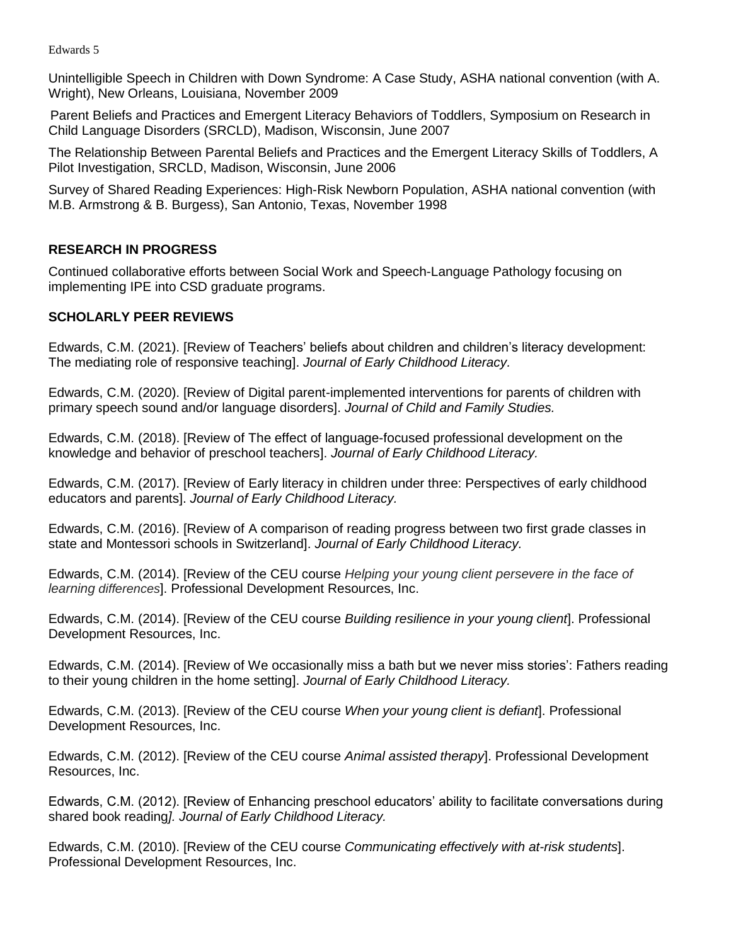Unintelligible Speech in Children with Down Syndrome: A Case Study, ASHA national convention (with A. Wright), New Orleans, Louisiana, November 2009

Parent Beliefs and Practices and Emergent Literacy Behaviors of Toddlers, Symposium on Research in Child Language Disorders (SRCLD), Madison, Wisconsin, June 2007

The Relationship Between Parental Beliefs and Practices and the Emergent Literacy Skills of Toddlers, A Pilot Investigation, SRCLD, Madison, Wisconsin, June 2006

Survey of Shared Reading Experiences: High-Risk Newborn Population, ASHA national convention (with M.B. Armstrong & B. Burgess), San Antonio, Texas, November 1998

# **RESEARCH IN PROGRESS**

Continued collaborative efforts between Social Work and Speech-Language Pathology focusing on implementing IPE into CSD graduate programs.

# **SCHOLARLY PEER REVIEWS**

Edwards, C.M. (2021). [Review of Teachers' beliefs about children and children's literacy development: The mediating role of responsive teaching]. *Journal of Early Childhood Literacy.*

Edwards, C.M. (2020). [Review of Digital parent-implemented interventions for parents of children with primary speech sound and/or language disorders]. *Journal of Child and Family Studies.*

Edwards, C.M. (2018). [Review of The effect of language-focused professional development on the knowledge and behavior of preschool teachers]. *Journal of Early Childhood Literacy.*

Edwards, C.M. (2017). [Review of Early literacy in children under three: Perspectives of early childhood educators and parents]. *Journal of Early Childhood Literacy.*

Edwards, C.M. (2016). [Review of A comparison of reading progress between two first grade classes in state and Montessori schools in Switzerland]. *Journal of Early Childhood Literacy.*

Edwards, C.M. (2014). [Review of the CEU course *Helping your young client persevere in the face of learning differences*]. Professional Development Resources, Inc.

Edwards, C.M. (2014). [Review of the CEU course *Building resilience in your young client*]. Professional Development Resources, Inc.

Edwards, C.M. (2014). [Review of We occasionally miss a bath but we never miss stories': Fathers reading to their young children in the home setting]. *Journal of Early Childhood Literacy.*

Edwards, C.M. (2013). [Review of the CEU course *When your young client is defiant*]. Professional Development Resources, Inc.

Edwards, C.M. (2012). [Review of the CEU course *Animal assisted therapy*]. Professional Development Resources, Inc.

Edwards, C.M. (2012). [Review of Enhancing preschool educators' ability to facilitate conversations during shared book reading*]. Journal of Early Childhood Literacy.*

Edwards, C.M. (2010). [Review of the CEU course *Communicating effectively with at-risk students*]. Professional Development Resources, Inc.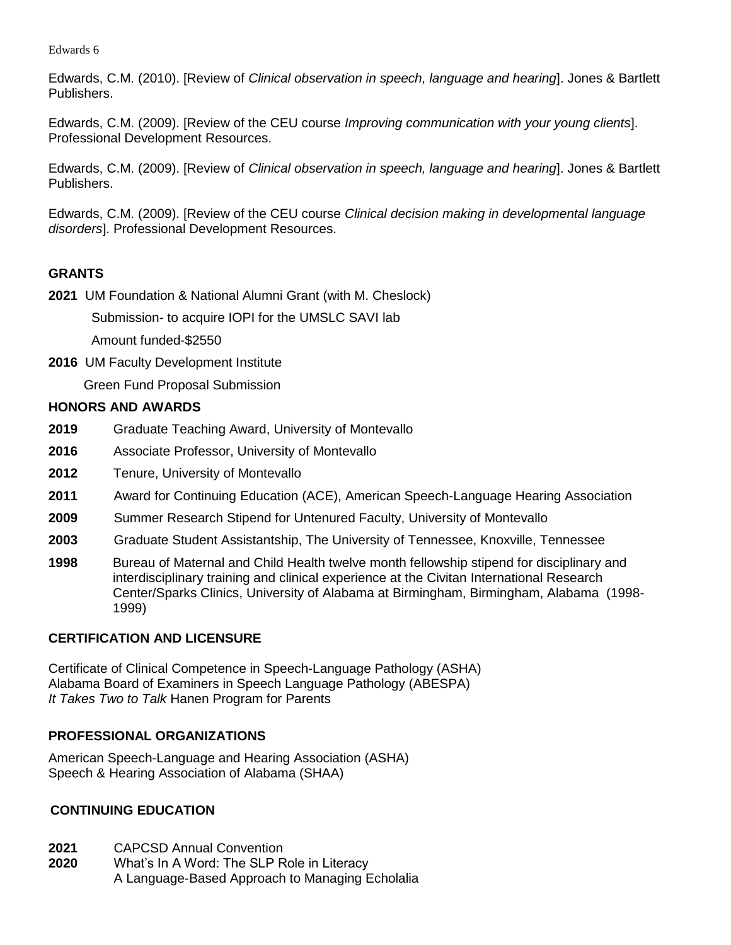Edwards, C.M. (2010). [Review of *Clinical observation in speech, language and hearing*]. Jones & Bartlett Publishers.

Edwards, C.M. (2009). [Review of the CEU course *Improving communication with your young clients*]. Professional Development Resources.

Edwards, C.M. (2009). [Review of *Clinical observation in speech, language and hearing*]. Jones & Bartlett Publishers.

Edwards, C.M. (2009). [Review of the CEU course *Clinical decision making in developmental language disorders*]. Professional Development Resources.

# **GRANTS**

**2021** UM Foundation & National Alumni Grant (with M. Cheslock)

Submission- to acquire IOPI for the UMSLC SAVI lab

Amount funded-\$2550

**2016** UM Faculty Development Institute

Green Fund Proposal Submission

# **HONORS AND AWARDS**

- **2019** Graduate Teaching Award, University of Montevallo
- **2016** Associate Professor, University of Montevallo
- **2012** Tenure, University of Montevallo
- **2011** Award for Continuing Education (ACE), American Speech-Language Hearing Association
- **2009** Summer Research Stipend for Untenured Faculty, University of Montevallo
- **2003** Graduate Student Assistantship, The University of Tennessee, Knoxville, Tennessee
- **1998** Bureau of Maternal and Child Health twelve month fellowship stipend for disciplinary and interdisciplinary training and clinical experience at the Civitan International Research Center/Sparks Clinics, University of Alabama at Birmingham, Birmingham, Alabama (1998- 1999)

# **CERTIFICATION AND LICENSURE**

Certificate of Clinical Competence in Speech-Language Pathology (ASHA) Alabama Board of Examiners in Speech Language Pathology (ABESPA) *It Takes Two to Talk* Hanen Program for Parents

# **PROFESSIONAL ORGANIZATIONS**

American Speech-Language and Hearing Association (ASHA) Speech & Hearing Association of Alabama (SHAA)

# **CONTINUING EDUCATION**

**2021** CAPCSD Annual Convention

**2020** What's In A Word: The SLP Role in Literacy A Language-Based Approach to Managing Echolalia